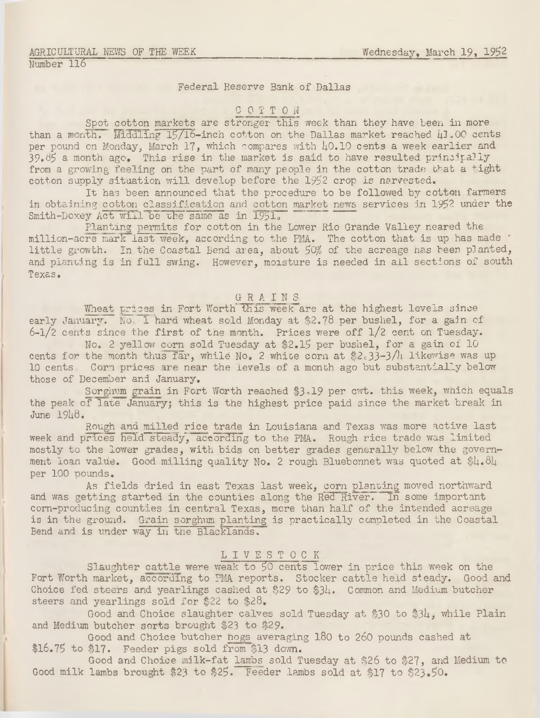## Federal Reserve Bank of Dallas

## C O T T ON

Spot cotton markets are stronger this week than they have been in more than a month. Middling  $15/16$ -inch cotton on the Dallas market reached  $\mu$ 1.00 cents per pound on Monday, March 17, which compares with  $\mu$ 0.10 cents a week earlier and  $39.65$  a month ago. This rise in the market is said to have resulted principally from a growing feeling on the part of many people in the cotton trade that a tight cotton supply situation will develop before the 1952 crop is narvested.

It has been announced that the procedure to be followed by cotton farmers in obtaining cotton classification and cotton market news services in 1952 under the Smith-Doxey Act will be the same as in 1951.

Planting permits for cotton in the Lower Rio Grande Valley neared the million-acre mark last week, according to the PMA. The cotton that is up has made little growth. In the Coastal Bend area, about 50% of the acreage has been planted, and planting is in full swing. However, moisture is needed in all sections of south Texas.

# GRAIN S

Wheat prices in Fort Worth this week are at the highest levels since early January. No. 1 hard wheat sold Monday at \$2.78 per bushel, for a gain of 6-1/2 cents since the first of the month. Prices were off  $1/2$  cent on Tuesday.

No, 2 yellow corn sold Tuesday at \$2.15 per bushel, for a gain of 10 cents for the month thus far, while No, 2 white corn at  $$2c33-3/h$  likewise was up 10 cents. Corn prices are near the levels of a month ago but substantially below those of December and January.

Sorghum grain in Fort Worth reached \$3.19 per cwt. this week, which equals the peak of late January; this is the highest price paid since the market break in  $June 19<sub>18</sub>$ .

Rough and milled rice trade in Louisiana and Texas was more active last week and prices held steady, according to the PMA. Rough rice trade was limited mostly to the lower grades, with bids on better grades generally below the government loan value. Good milling quality No. 2 rough Bluebonnet was quoted at  $$4.8\text{h}$ per 100 pounds.

As fields dried in east Texas last week, corn planting moved northward and was getting started in the counties along the Red River. In some important corn-producing counties in central Texas, more than half of the intended acreage is in the ground. Grain sorghum planting is practically completed in the Coastal Bend and is under way in the Blacklands.

## LIVESTOCK

Slaughter cattle were weak to 50 cents lower in price this week on the Fort Worth market, according to PMA reports. Stocker cattle held steady. Good and Choice fed steers and yearlings cashed at  $$29$  to  $$34.$  Common and Medium butcher steers and yearlings sold for \$22 to  $$28.$ 

Good and Choice slaughter calves sold Tuesday at \$30 to \$34, while Plain and Medium butcher sorts brought \$23 to \$29.

Good and Choice butcher hogs averaging 180 to 2o0 pounds cashed at \$16.75 to \$17. Feeder pigs sold from \$13 down.

Good and Choice milk-fat lambs sold Tuesday at \$26 to \$27, and Medium to Good milk lambs brought \$23 to \$25. Feeder lambs sold at \$17 to \$23,50.